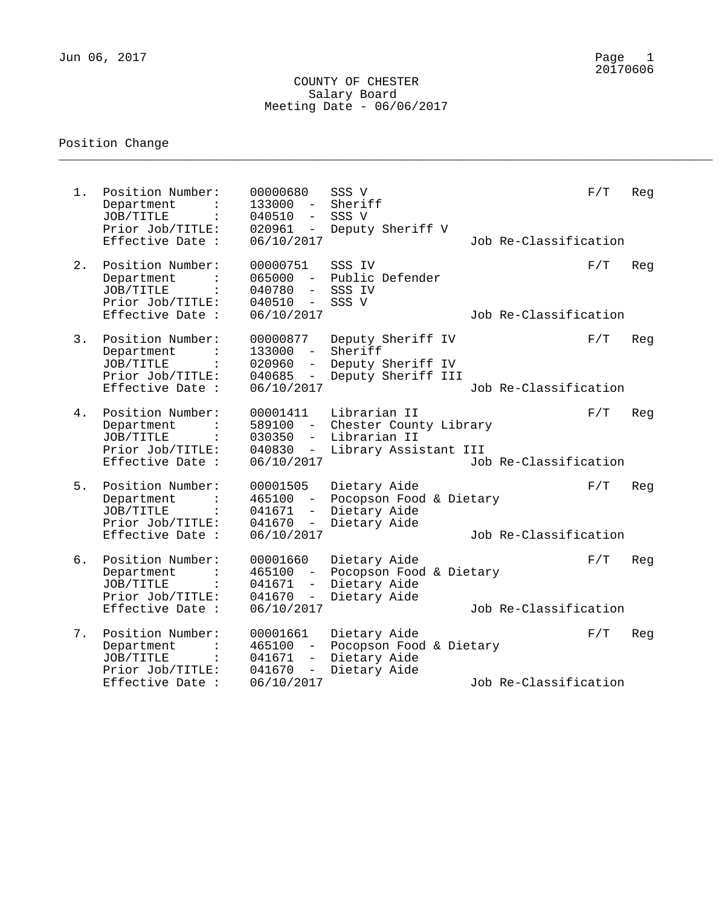## COUNTY OF CHESTER Salary Board Meeting Date - 06/06/2017

\_\_\_\_\_\_\_\_\_\_\_\_\_\_\_\_\_\_\_\_\_\_\_\_\_\_\_\_\_\_\_\_\_\_\_\_\_\_\_\_\_\_\_\_\_\_\_\_\_\_\_\_\_\_\_\_\_\_\_\_\_\_\_\_\_\_\_\_\_\_\_\_\_\_\_\_\_\_\_\_\_\_\_\_\_\_\_\_\_

## Position Change

| $1$ . | Position Number:<br>Department<br>JOB/TITLE<br>$\ddot{\cdot}$<br>Prior Job/TITLE:<br>Effective Date :                   | 00000680<br>$133000 -$<br>040510<br>$\overline{\phantom{m}}$<br>020961<br>$-$<br>06/10/2017                                | SSS V<br>Sheriff<br>SSS V<br>Deputy Sheriff V                                   | Job Re-Classification | F/T | Reg |
|-------|-------------------------------------------------------------------------------------------------------------------------|----------------------------------------------------------------------------------------------------------------------------|---------------------------------------------------------------------------------|-----------------------|-----|-----|
| 2.    | Position Number:<br>Department<br>JOB/TITLE<br>Prior Job/TITLE:<br>Effective Date :                                     | 00000751<br>065000<br>$\sim$ $-$<br>040780<br>$\overline{\phantom{a}}$<br>040510<br>$\overline{\phantom{a}}$<br>06/10/2017 | SSS IV<br>Public Defender<br>SSS IV<br>SSS V                                    | Job Re-Classification | F/T | Reg |
| 3.    | Position Number:<br>Department<br>JOB/TITLE<br>Prior Job/TITLE:<br>Effective Date :                                     | 00000877<br>133000<br>$\overline{\phantom{0}}$<br>020960<br>$-$<br>040685<br>$ \,$<br>06/10/2017                           | Deputy Sheriff IV<br>Sheriff<br>Deputy Sheriff IV<br>Deputy Sheriff III         | Job Re-Classification | F/T | Reg |
| 4.    | Position Number:<br>Department<br>JOB/TITLE<br>$\ddot{\cdot}$<br>Prior Job/TITLE:<br>Effective Date :                   | 00001411<br>589100<br>$030350 -$<br>040830<br>$\sim$ $-$<br>06/10/2017                                                     | Librarian II<br>Chester County Library<br>Librarian II<br>Library Assistant III | Job Re-Classification | F/T | Reg |
| 5.    | Position Number:<br>Department<br>JOB/TITLE<br>Prior Job/TITLE:<br>Effective Date :                                     | 00001505<br>465100<br>$\sim$ $-$<br>041671<br>$\overline{\phantom{0}}$<br>041670<br>$-$<br>06/10/2017                      | Dietary Aide<br>Pocopson Food & Dietary<br>Dietary Aide<br>Dietary Aide         | Job Re-Classification | F/T | Reg |
| б.    | Position Number:<br>Department<br>JOB/TITLE<br>Prior Job/TITLE:<br>Effective Date :                                     | 00001660<br>465100<br>$\sim$ $-$<br>041671<br>$\overline{\phantom{0}}$<br>041670<br>$-$<br>06/10/2017                      | Dietary Aide<br>Pocopson Food & Dietary<br>Dietary Aide<br>Dietary Aide         | Job Re-Classification | F/T | Reg |
| 7.    | Position Number:<br>Department<br>$\ddot{\cdot}$<br>JOB/TITLE<br>$\ddot{\cdot}$<br>Prior Job/TITLE:<br>Effective Date : | 00001661<br>465100<br>$\overline{\phantom{a}}$<br>041671<br>$-$<br>041670<br>$-$<br>06/10/2017                             | Dietary Aide<br>Pocopson Food & Dietary<br>Dietary Aide<br>Dietary Aide         | Job Re-Classification | F/T | Reg |